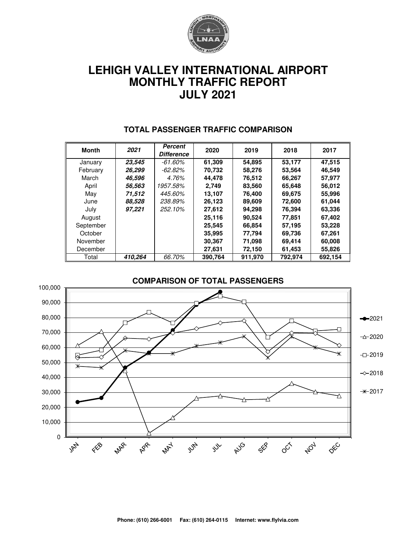

# **LEHIGH VALLEY INTERNATIONAL AIRPORT MONTHLY TRAFFIC REPORT JULY 2021**

| <b>Month</b> | 2021    | <b>Percent</b>    | 2020    | 2019    | 2018    | 2017    |  |
|--------------|---------|-------------------|---------|---------|---------|---------|--|
|              |         | <b>Difference</b> |         |         |         |         |  |
| January      | 23.545  | $-61.60\%$        | 61,309  | 54,895  | 53,177  | 47,515  |  |
| February     | 26,299  | -62.82%           | 70,732  | 58,276  | 53,564  | 46,549  |  |
| March        | 46,596  | 4.76%             | 44.478  | 76,512  | 66,267  | 57,977  |  |
| April        | 56.563  | 1957.58%          | 2,749   | 83,560  | 65,648  | 56,012  |  |
| May          | 71,512  | 445.60%           | 13,107  | 76,400  | 69,675  | 55,996  |  |
| June         | 88.528  | 238.89%           | 26,123  | 89,609  | 72,600  | 61,044  |  |
| July         | 97,221  | 252.10%           | 27,612  | 94,298  | 76,394  | 63,336  |  |
| August       |         |                   | 25.116  | 90,524  | 77,851  | 67,402  |  |
| September    |         |                   | 25,545  | 66,854  | 57,195  | 53,228  |  |
| October      |         |                   | 35,995  | 77,794  | 69,736  | 67,261  |  |
| November     |         |                   | 30,367  | 71,098  | 69,414  | 60,008  |  |
| December     |         |                   | 27,631  | 72,150  | 61,453  | 55,826  |  |
| Total        | 410,264 | 66.70%            | 390,764 | 911,970 | 792,974 | 692,154 |  |

#### **TOTAL PASSENGER TRAFFIC COMPARISON**

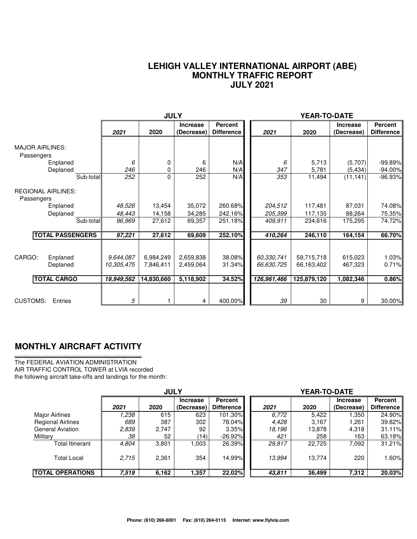#### **LEHIGH VALLEY INTERNATIONAL AIRPORT (ABE) MONTHLY TRAFFIC REPORT JULY 2021**

|                                                      |                                       | <b>JULY</b><br>YEAR-TO-DATE          |                                     |                                     |                                         |                                         |                                 |                              |
|------------------------------------------------------|---------------------------------------|--------------------------------------|-------------------------------------|-------------------------------------|-----------------------------------------|-----------------------------------------|---------------------------------|------------------------------|
|                                                      | 2021                                  | 2020                                 | <b>Increase</b><br>(Decrease)       | <b>Percent</b><br><b>Difference</b> | 2021                                    | 2020                                    | <b>Increase</b><br>(Decrease)   | Percent<br><b>Difference</b> |
| <b>MAJOR AIRLINES:</b><br>Passengers<br>Enplaned     | 6                                     | 0                                    | 6                                   | N/A                                 | 6                                       | 5,713                                   | (5,707)                         | $-99.89%$                    |
| Deplaned<br>Sub-total                                | 246<br>252                            | 0<br>0                               | 246<br>252                          | N/A<br>N/A                          | 347<br>353                              | 5,781<br>11,494                         | (5, 434)<br>(11, 141)           | $-94.00\%$<br>$-96.93%$      |
| <b>REGIONAL AIRLINES:</b><br>Passengers<br>Enplaned  | 48,526                                | 13,454                               | 35,072                              | 260.68%                             | 204,512                                 | 117,481                                 | 87,031                          | 74.08%                       |
| Deplaned                                             | 48,443                                | 14,158                               | 34,285                              | 242.16%                             | 205,399                                 | 117,135                                 | 88,264                          | 75.35%                       |
| Sub-total                                            | 96,969                                | 27,612                               | 69,357                              | 251.18%                             | 409.911                                 | 234,616                                 | 175,295                         | 74.72%                       |
| <b>TOTAL PASSENGERS</b>                              | 97,221                                | 27,612                               | 69,609                              | 252.10%                             | 410,264                                 | 246,110                                 | 164,154                         | 66.70%                       |
| CARGO:<br>Enplaned<br>Deplaned<br><b>TOTAL CARGO</b> | 9,644,087<br>10,305,475<br>19,949,562 | 6,984,249<br>7,846,411<br>14,830,660 | 2,659,838<br>2,459,064<br>5,118,902 | 38.08%<br>31.34%<br>34.52%          | 60,330,741<br>66,630,725<br>126,961,466 | 59,715,718<br>66,163,402<br>125,879,120 | 615,023<br>467,323<br>1,082,346 | 1.03%<br>0.71%<br>0.86%      |
| <b>CUSTOMS:</b><br>Entries                           | 5                                     |                                      | 4                                   | 400.00%                             | 39                                      | 30                                      | 9                               | 30.00%                       |

### **MONTHLY AIRCRAFT ACTIVITY**

The FEDERAL AVIATION ADMINISTRATION AIR TRAFFIC CONTROL TOWER at LVIA recorded the following aircraft take-offs and landings for the month:

|                          | <b>JULY</b> |       |                               |                                     | YEAR-TO-DATE |        |                               |                              |  |  |
|--------------------------|-------------|-------|-------------------------------|-------------------------------------|--------------|--------|-------------------------------|------------------------------|--|--|
|                          | 2021        | 2020  | <b>Increase</b><br>(Decrease) | <b>Percent</b><br><b>Difference</b> | 2021         | 2020   | <b>Increase</b><br>(Decrease) | Percent<br><b>Difference</b> |  |  |
| Major Airlines           | 1.238       | 615   | 623                           | 101.30%                             | 6.772        | 5.422  | .350                          | 24.90%                       |  |  |
| <b>Regional Airlines</b> | 689         | 387   | 302                           | 78.04%                              | 4.428        | 3,167  | 1,261                         | 39.82%                       |  |  |
| <b>General Aviation</b>  | 2,839       | 2,747 | 92                            | 3.35%                               | 18.196       | 13,878 | 4,318                         | 31.11%                       |  |  |
| Military                 | 38          | 52    | (14)                          | $-26.92\%$                          | 421          | 258    | 163                           | 63.18%                       |  |  |
| <b>Total Itinerant</b>   | 4,804       | 3,801 | 003                           | 26.39%                              | 29,817       | 22,725 | 7,092                         | 31.21%                       |  |  |
| <b>Total Local</b>       | 2.715       | 2,361 | 354                           | 14.99%                              | 13.994       | 13.774 | 220                           | 1.60%                        |  |  |
| <b>TOTAL OPERATIONS</b>  | 7,519       | 6,162 | 1,357                         | 22.02%                              | 43,811       | 36,499 | 7,312                         | 20.03%                       |  |  |